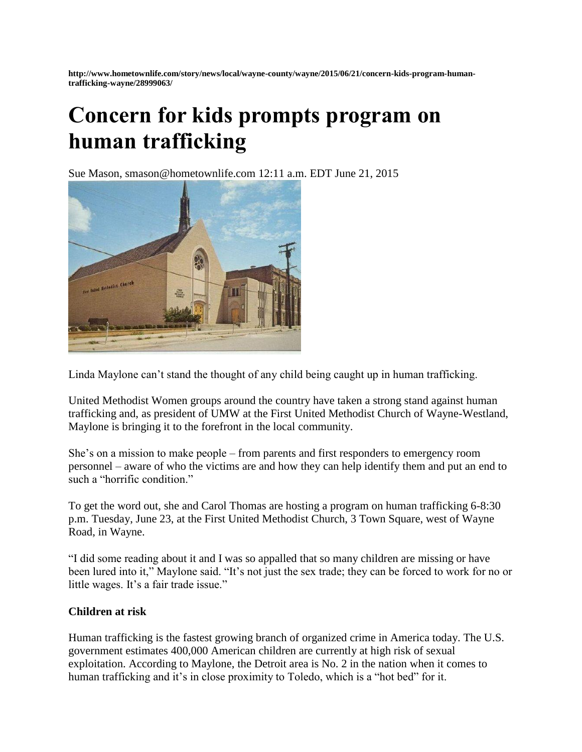**http://www.hometownlife.com/story/news/local/wayne-county/wayne/2015/06/21/concern-kids-program-humantrafficking-wayne/28999063/**

## **Concern for kids prompts program on human trafficking**

Sue Mason, smason@hometownlife.com 12:11 a.m. EDT June 21, 2015



Linda Maylone can't stand the thought of any child being caught up in human trafficking.

United Methodist Women groups around the country have taken a strong stand against human trafficking and, as president of UMW at the First United Methodist Church of Wayne-Westland, Maylone is bringing it to the forefront in the local community.

She's on a mission to make people – from parents and first responders to emergency room personnel – aware of who the victims are and how they can help identify them and put an end to such a "horrific condition."

To get the word out, she and Carol Thomas are hosting a program on human trafficking 6-8:30 p.m. Tuesday, June 23, at the First United Methodist Church, 3 Town Square, west of Wayne Road, in Wayne.

"I did some reading about it and I was so appalled that so many children are missing or have been lured into it," Maylone said. "It's not just the sex trade; they can be forced to work for no or little wages. It's a fair trade issue."

## **Children at risk**

Human trafficking is the fastest growing branch of organized crime in America today. The U.S. government estimates 400,000 American children are currently at high risk of sexual exploitation. According to Maylone, the Detroit area is No. 2 in the nation when it comes to human trafficking and it's in close proximity to Toledo, which is a "hot bed" for it.